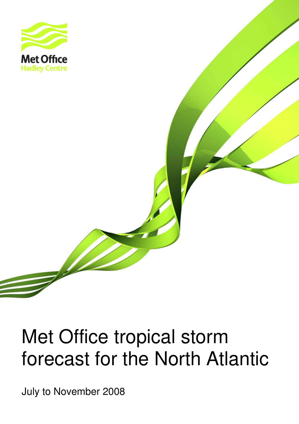

# Met Office tropical storm forecast for the North Atlantic

2008\_seasonal\_forecast - 1 – July to November 2008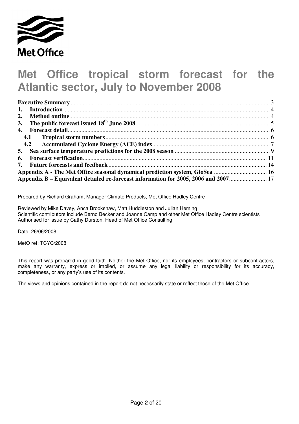

# **Met Office tropical storm forecast for the Atlantic sector, July to November 2008**

| 2.                                                                               |  |
|----------------------------------------------------------------------------------|--|
|                                                                                  |  |
|                                                                                  |  |
|                                                                                  |  |
|                                                                                  |  |
|                                                                                  |  |
|                                                                                  |  |
|                                                                                  |  |
|                                                                                  |  |
| Appendix B – Equivalent detailed re-forecast information for 2005, 2006 and 2007 |  |

Prepared by Richard Graham, Manager Climate Products, Met Office Hadley Centre

Reviewed by Mike Davey, Anca Brookshaw, Matt Huddleston and Julian Heming Scientific contributors include Bernd Becker and Joanne Camp and other Met Office Hadley Centre scientists Authorised for issue by Cathy Durston, Head of Met Office Consulting

Date: 26/06/2008

MetO ref: TCYC/2008

This report was prepared in good faith. Neither the Met Office, nor its employees, contractors or subcontractors, make any warranty, express or implied, or assume any legal liability or responsibility for its accuracy, completeness, or any party's use of its contents.

The views and opinions contained in the report do not necessarily state or reflect those of the Met Office.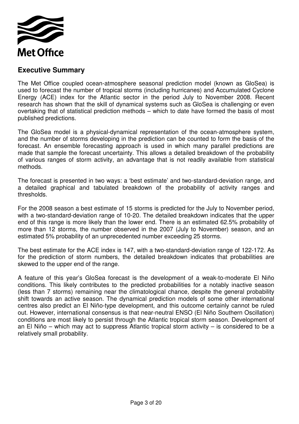

#### **Executive Summary**

The Met Office coupled ocean-atmosphere seasonal prediction model (known as GloSea) is used to forecast the number of tropical storms (including hurricanes) and Accumulated Cyclone Energy (ACE) index for the Atlantic sector in the period July to November 2008. Recent research has shown that the skill of dynamical systems such as GloSea is challenging or even overtaking that of statistical prediction methods – which to date have formed the basis of most published predictions.

The GloSea model is a physical-dynamical representation of the ocean-atmosphere system, and the number of storms developing in the prediction can be counted to form the basis of the forecast. An ensemble forecasting approach is used in which many parallel predictions are made that sample the forecast uncertainty. This allows a detailed breakdown of the probability of various ranges of storm activity, an advantage that is not readily available from statistical methods.

The forecast is presented in two ways: a 'best estimate' and two-standard-deviation range, and a detailed graphical and tabulated breakdown of the probability of activity ranges and thresholds.

For the 2008 season a best estimate of 15 storms is predicted for the July to November period, with a two-standard-deviation range of 10-20. The detailed breakdown indicates that the upper end of this range is more likely than the lower end. There is an estimated 62.5% probability of more than 12 storms, the number observed in the 2007 (July to November) season, and an estimated 5% probability of an unprecedented number exceeding 25 storms.

The best estimate for the ACE index is 147, with a two-standard-deviation range of 122-172. As for the prediction of storm numbers, the detailed breakdown indicates that probabilities are skewed to the upper end of the range.

A feature of this year's GloSea forecast is the development of a weak-to-moderate El Niño conditions. This likely contributes to the predicted probabilities for a notably inactive season (less than 7 storms) remaining near the climatological chance, despite the general probability shift towards an active season. The dynamical prediction models of some other international centres also predict an El Niño-type development, and this outcome certainly cannot be ruled out. However, international consensus is that near-neutral ENSO (El Niño Southern Oscillation) conditions are most likely to persist through the Atlantic tropical storm season. Development of an El Niño – which may act to suppress Atlantic tropical storm activity – is considered to be a relatively small probability.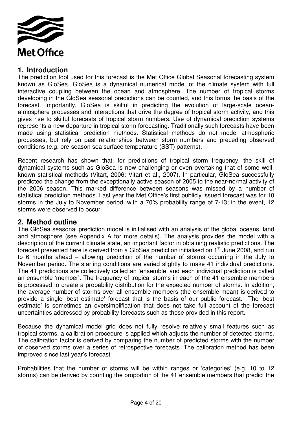

#### **1. Introduction**

The prediction tool used for this forecast is the Met Office Global Seasonal forecasting system known as GloSea. GloSea is a dynamical numerical model of the climate system with full interactive coupling between the ocean and atmosphere. The number of tropical storms developing in the GloSea seasonal predictions can be counted, and this forms the basis of the forecast. Importantly, GloSea is skilful in predicting the evolution of large-scale oceanatmosphere processes and interactions that drive the degree of tropical storm activity, and this gives rise to skilful forecasts of tropical storm numbers. Use of dynamical prediction systems represents a new departure in tropical storm forecasting. Traditionally such forecasts have been made using statistical prediction methods. Statistical methods do not model atmospheric processes, but rely on past relationships between storm numbers and preceding observed conditions (e.g. pre-season sea surface temperature (SST) patterns).

Recent research has shown that, for predictions of tropical storm frequency, the skill of dynamical systems such as GloSea is now challenging or even overtaking that of some wellknown statistical methods (Vitart, 2006: Vitart et al., 2007). In particular, GloSea successfully predicted the change from the exceptionally active season of 2005 to the near-normal activity of the 2006 season. This marked difference between seasons was missed by a number of statistical prediction methods. Last year the Met Office's first publicly issued forecast was for 10 storms in the July to November period, with a 70% probability range of 7-13; in the event, 12 storms were observed to occur.

#### **2. Method outline**

The GloSea seasonal prediction model is initialised with an analysis of the global oceans, land and atmosphere (see Appendix A for more details). The analysis provides the model with a description of the current climate state, an important factor in obtaining realistic predictions. The forecast presented here is derived from a GloSea prediction initialised on 1<sup>st</sup> June 2008, and run to 6 months ahead – allowing prediction of the number of storms occurring in the July to November period. The starting conditions are varied slightly to make 41 individual predictions. The 41 predictions are collectively called an 'ensemble' and each individual prediction is called an ensemble 'member'. The frequency of tropical storms in each of the 41 ensemble members is processed to create a probability distribution for the expected number of storms. In addition, the average number of storms over all ensemble members (the ensemble mean) is derived to provide a single 'best estimate' forecast that is the basis of our public forecast. The 'best estimate' is sometimes an oversimplification that does not take full account of the forecast uncertainties addressed by probability forecasts such as those provided in this report.

Because the dynamical model grid does not fully resolve relatively small features such as tropical storms, a calibration procedure is applied which adjusts the number of detected storms. The calibration factor is derived by comparing the number of predicted storms with the number of observed storms over a series of retrospective forecasts. The calibration method has been improved since last year's forecast.

Probabilities that the number of storms will be within ranges or 'categories' (e.g. 10 to 12 storms) can be derived by counting the proportion of the 41 ensemble members that predict the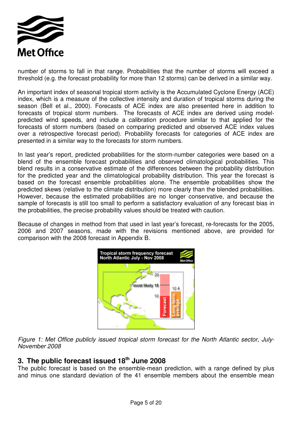

number of storms to fall in that range. Probabilities that the number of storms will exceed a threshold (e.g. the forecast probability for more than 12 storms) can be derived in a similar way.

An important index of seasonal tropical storm activity is the Accumulated Cyclone Energy (ACE) index, which is a measure of the collective intensity and duration of tropical storms during the season (Bell et al., 2000). Forecasts of ACE index are also presented here in addition to forecasts of tropical storm numbers. The forecasts of ACE index are derived using modelpredicted wind speeds, and include a calibration procedure similar to that applied for the forecasts of storm numbers (based on comparing predicted and observed ACE index values over a retrospective forecast period). Probability forecasts for categories of ACE index are presented in a similar way to the forecasts for storm numbers.

In last year's report, predicted probabilities for the storm-number categories were based on a blend of the ensemble forecast probabilities and observed climatological probabilities. This blend results in a conservative estimate of the differences between the probability distribution for the predicted year and the climatological probability distribution. This year the forecast is based on the forecast ensemble probabilities alone. The ensemble probabilities show the predicted skews (relative to the climate distribution) more clearly than the blended probabilities. However, because the estimated probabilities are no longer conservative, and because the sample of forecasts is still too small to perform a satisfactory evaluation of any forecast bias in the probabilities, the precise probability values should be treated with caution.

Because of changes in method from that used in last year's forecast, re-forecasts for the 2005, 2006 and 2007 seasons, made with the revisions mentioned above, are provided for comparison with the 2008 forecast in Appendix B.



Figure 1: Met Office publicly issued tropical storm forecast for the North Atlantic sector, July-November 2008

# **3. The public forecast issued 18th June 2008**

The public forecast is based on the ensemble-mean prediction, with a range defined by plus and minus one standard deviation of the 41 ensemble members about the ensemble mean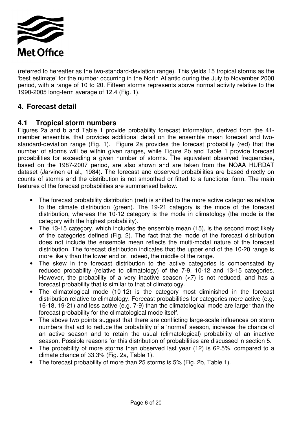

(referred to hereafter as the two-standard-deviation range). This yields 15 tropical storms as the 'best estimate' for the number occurring in the North Atlantic during the July to November 2008 period, with a range of 10 to 20. Fifteen storms represents above normal activity relative to the 1990-2005 long-term average of 12.4 (Fig. 1).

### **4. Forecast detail**

#### **4.1 Tropical storm numbers**

Figures 2a and b and Table 1 provide probability forecast information, derived from the 41 member ensemble, that provides additional detail on the ensemble mean forecast and twostandard-deviation range (Fig. 1). Figure 2a provides the forecast probability (red) that the number of storms will be within given ranges, while Figure 2b and Table 1 provide forecast probabilities for exceeding a given number of storms. The equivalent observed frequencies, based on the 1987-2007 period, are also shown and are taken from the NOAA HURDAT dataset (Jarvinen et al., 1984). The forecast and observed probabilities are based directly on counts of storms and the distribution is not smoothed or fitted to a functional form. The main features of the forecast probabilities are summarised below.

- The forecast probability distribution (red) is shifted to the more active categories relative to the climate distribution (green). The 19-21 category is the mode of the forecast distribution, whereas the 10-12 category is the mode in climatology (the mode is the category with the highest probability).
- The 13-15 category, which includes the ensemble mean (15), is the second most likely of the categories defined (Fig. 2). The fact that the mode of the forecast distribution does not include the ensemble mean reflects the multi-modal nature of the forecast distribution. The forecast distribution indicates that the upper end of the 10-20 range is more likely than the lower end or, indeed, the middle of the range.
- The skew in the forecast distribution to the active categories is compensated by reduced probability (relative to climatology) of the 7-9, 10-12 and 13-15 categories. However, the probability of a very inactive season (<7) is not reduced, and has a forecast probability that is similar to that of climatology.
- The climatological mode (10-12) is the category most diminished in the forecast distribution relative to climatology. Forecast probabilities for categories more active (e.g. 16-18, 19-21) and less active (e.g. 7-9) than the climatological mode are larger than the forecast probability for the climatological mode itself.
- The above two points suggest that there are conflicting large-scale influences on storm numbers that act to reduce the probability of a 'normal' season, increase the chance of an active season and to retain the usual (climatological) probability of an inactive season. Possible reasons for this distribution of probabilities are discussed in section 5.
- The probability of more storms than observed last year (12) is 62.5%, compared to a climate chance of 33.3% (Fig. 2a, Table 1).
- The forecast probability of more than 25 storms is 5% (Fig. 2b, Table 1).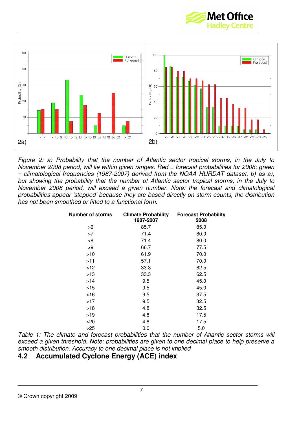



Figure 2: a) Probability that the number of Atlantic sector tropical storms, in the July to November 2008 period, will lie within given ranges. Red = forecast probabilities for 2008; green  $=$  climatological frequencies (1987-2007) derived from the NOAA HURDAT dataset. b) as a), but showing the probability that the number of Atlantic sector tropical storms, in the July to November 2008 period, will exceed a given number. Note: the forecast and climatological probabilities appear 'stepped' because they are based directly on storm counts, the distribution has not been smoothed or fitted to a functional form.

| <b>Number of storms</b> | <b>Climate Probability</b><br>1987-2007 | <b>Forecast Probability</b><br>2008 |  |
|-------------------------|-----------------------------------------|-------------------------------------|--|
| >6                      | 85.7                                    | 85.0                                |  |
| >7                      | 71.4                                    | 80.0                                |  |
| >8                      | 71.4                                    | 80.0                                |  |
| >9                      | 66.7                                    | 77.5                                |  |
| >10                     | 61.9                                    | 70.0                                |  |
| >11                     | 57.1                                    | 70.0                                |  |
| >12                     | 33.3                                    | 62.5                                |  |
| >13                     | 33.3                                    | 62.5                                |  |
| >14                     | 9.5                                     | 45.0                                |  |
| >15                     | 9.5                                     | 45.0                                |  |
| >16                     | 9.5                                     | 37.5                                |  |
| >17                     | 9.5                                     | 32.5                                |  |
| >18                     | 4.8                                     | 32.5                                |  |
| >19                     | 4.8                                     | 17.5                                |  |
| >20                     | 4.8                                     | 17.5                                |  |
| >25                     | 0.0                                     | 5.0                                 |  |

Table 1: The climate and forecast probabilities that the number of Atlantic sector storms will exceed a given threshold. Note: probabilities are given to one decimal place to help preserve a smooth distribution. Accuracy to one decimal place is not implied

### **4.2 Accumulated Cyclone Energy (ACE) index**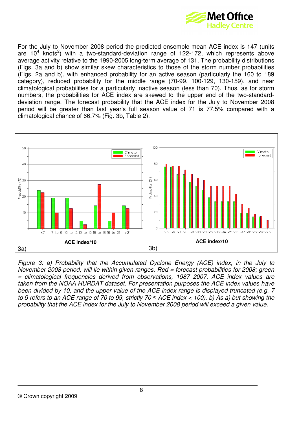

For the July to November 2008 period the predicted ensemble-mean ACE index is 147 (units are 10<sup>4</sup> knots<sup>2</sup>) with a two-standard-deviation range of 122-172, which represents above average activity relative to the 1990-2005 long-term average of 131. The probability distributions (Figs. 3a and b) show similar skew characteristics to those of the storm number probabilities (Figs. 2a and b), with enhanced probability for an active season (particularly the 160 to 189 category), reduced probability for the middle range (70-99, 100-129, 130-159), and near climatological probabilities for a particularly inactive season (less than 70). Thus, as for storm numbers, the probabilities for ACE index are skewed to the upper end of the two-standarddeviation range. The forecast probability that the ACE index for the July to November 2008 period will be greater than last year's full season value of 71 is 77.5% compared with a climatological chance of 66.7% (Fig. 3b, Table 2).



Figure 3: a) Probability that the Accumulated Cyclone Energy (ACE) index, in the July to November 2008 period, will lie within given ranges. Red = forecast probabilities for 2008; green = climatological frequencies derived from observations, 1987–2007. ACE index values are taken from the NOAA HURDAT dataset. For presentation purposes the ACE index values have been divided by 10, and the upper value of the ACE index range is displayed truncated (e.g. 7 to 9 refers to an ACE range of 70 to 99, strictly 70  $\leq$  ACE index  $<$  100). b) As a) but showing the probability that the ACE index for the July to November 2008 period will exceed a given value.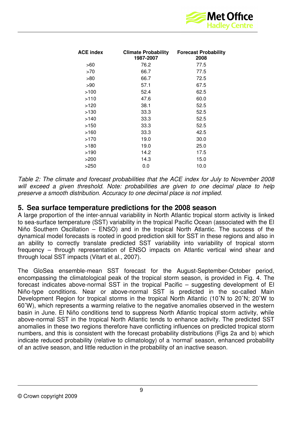

| ACE index | <b>Climate Probability</b><br>1987-2007 | <b>Forecast Probability</b><br>2008 |  |
|-----------|-----------------------------------------|-------------------------------------|--|
| >60       | 76.2                                    | 77.5                                |  |
| >70       | 66.7                                    | 77.5                                |  |
| >80       | 66.7                                    | 72.5                                |  |
| >90       | 57.1                                    | 67.5                                |  |
| >100      | 52.4                                    | 62.5                                |  |
| >110      | 47.6                                    | 60.0                                |  |
| >120      | 38.1                                    | 52.5                                |  |
| >130      | 33.3                                    | 52.5                                |  |
| >140      | 33.3                                    | 52.5                                |  |
| >150      | 33.3                                    | 52.5                                |  |
| >160      | 33.3                                    | 42.5                                |  |
| >170      | 19.0                                    | 30.0                                |  |
| >180      | 19.0                                    | 25.0                                |  |
| >190      | 14.2                                    | 17.5                                |  |
| >200      | 14.3                                    | 15.0                                |  |
| >250      | 0.0                                     | 10.0                                |  |

Table 2: The climate and forecast probabilities that the ACE index for July to November 2008 will exceed a given threshold. Note: probabilities are given to one decimal place to help preserve a smooth distribution. Accuracy to one decimal place is not implied.

#### **5. Sea surface temperature predictions for the 2008 season**

A large proportion of the inter-annual variability in North Atlantic tropical storm activity is linked to sea-surface temperature (SST) variability in the tropical Pacific Ocean (associated with the El Niño Southern Oscillation – ENSO) and in the tropical North Atlantic. The success of the dynamical model forecasts is rooted in good prediction skill for SST in these regions and also in an ability to correctly translate predicted SST variability into variability of tropical storm frequency – through representation of ENSO impacts on Atlantic vertical wind shear and through local SST impacts (Vitart et al., 2007).

The GloSea ensemble-mean SST forecast for the August-September-October period, encompassing the climatological peak of the tropical storm season, is provided in Fig. 4. The forecast indicates above-normal SST in the tropical Pacific – suggesting development of El Niño-type conditions. Near or above-normal SST is predicted in the so-called Main Development Region for tropical storms in the tropical North Atlantic (10˚N to 20˚N; 20˚W to 60˚W), which represents a warming relative to the negative anomalies observed in the western basin in June. El Niño conditions tend to suppress North Atlantic tropical storm activity, while above-normal SST in the tropical North Atlantic tends to enhance activity. The predicted SST anomalies in these two regions therefore have conflicting influences on predicted tropical storm numbers, and this is consistent with the forecast probability distributions (Figs 2a and b) which indicate reduced probability (relative to climatology) of a 'normal' season, enhanced probability of an active season, and little reduction in the probability of an inactive season.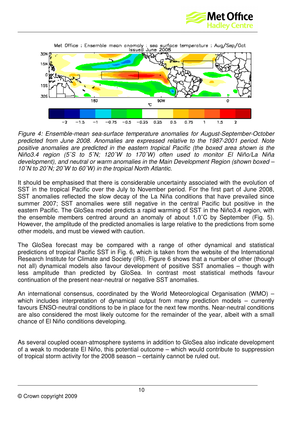



Figure 4: Ensemble-mean sea-surface temperature anomalies for August-September-October predicted from June 2008. Anomalies are expressed relative to the 1987-2001 period. Note positive anomalies are predicted in the eastern tropical Pacific (the boxed area shown is the Niño3.4 region (5˚S to 5˚N; 120˚W to 170˚W) often used to monitor El Niño/La Niña development), and neutral or warm anomalies in the Main Development Region (shown boxed – 10˚N to 20˚N; 20˚W to 60˚W) in the tropical North Atlantic.

It should be emphasised that there is considerable uncertainty associated with the evolution of SST in the tropical Pacific over the July to November period. For the first part of June 2008, SST anomalies reflected the slow decay of the La Niña conditions that have prevailed since summer 2007; SST anomalies were still negative in the central Pacific but positive in the eastern Pacific. The GloSea model predicts a rapid warming of SST in the Niño3.4 region, with the ensemble members centred around an anomaly of about 1.0˚C by September (Fig. 5). However, the amplitude of the predicted anomalies is large relative to the predictions from some other models, and must be viewed with caution.

The GloSea forecast may be compared with a range of other dynamical and statistical predictions of tropical Pacific SST in Fig. 6, which is taken from the website of the International Research Institute for Climate and Society (IRI). Figure 6 shows that a number of other (though not all) dynamical models also favour development of positive SST anomalies – though with less amplitude than predicted by GloSea. In contrast most statistical methods favour continuation of the present near-neutral or negative SST anomalies.

An international consensus, coordinated by the World Meteorological Organisation (WMO) – which includes interpretation of dynamical output from many prediction models – currently favours ENSO-neutral conditions to be in place for the next few months. Near-neutral conditions are also considered the most likely outcome for the remainder of the year, albeit with a small chance of El Niño conditions developing.

As several coupled ocean-atmosphere systems in addition to GloSea also indicate development of a weak to moderate El Niño, this potential outcome – which would contribute to suppression of tropical storm activity for the 2008 season – certainly cannot be ruled out.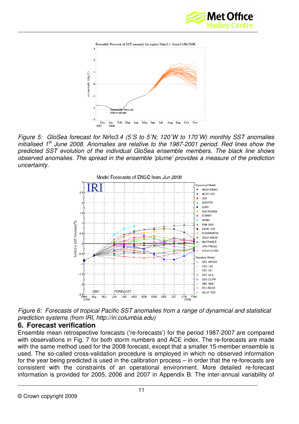



Figure 5: GloSea forecast for Niño3.4 (5˚S to 5˚N; 120˚W to 170˚W) monthly SST anomalies initialised  $1<sup>st</sup>$  June 2008. Anomalies are relative to the 1987-2001 period. Red lines show the predicted SST evolution of the individual GloSea ensemble members. The black line shows observed anomalies. The spread in the ensemble 'plume' provides a measure of the prediction uncertainty.



Figure 6: Forecasts of tropical Pacific SST anomalies from a range of dynamical and statistical prediction systems (from IRI, http://iri.columbia.edu)

#### **6. Forecast verification**

Ensemble mean retrospective forecasts ('re-forecasts') for the period 1987-2007 are compared with observations in Fig. 7 for both storm numbers and ACE index. The re-forecasts are made with the same method used for the 2008 forecast, except that a smaller 15-member ensemble is used. The so-called cross-validation procedure is employed in which no observed information for the year being predicted is used in the calibration process – in order that the re-forecasts are consistent with the constraints of an operational environment. More detailed re-forecast information is provided for 2005, 2006 and 2007 in Appendix B. The inter-annual variability of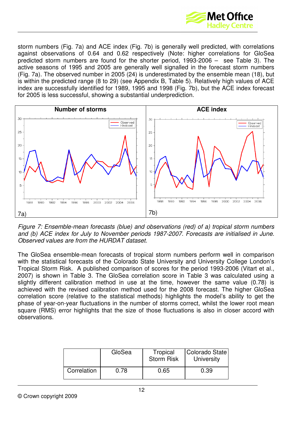

storm numbers (Fig. 7a) and ACE index (Fig. 7b) is generally well predicted, with correlations against observations of 0.64 and 0.62 respectively (Note: higher correlations for GloSea predicted storm numbers are found for the shorter period, 1993-2006 – see Table 3). The active seasons of 1995 and 2005 are generally well signalled in the forecast storm numbers (Fig. 7a). The observed number in 2005 (24) is underestimated by the ensemble mean (18), but is within the predicted range (8 to 29) (see Appendix B, Table 5). Relatively high values of ACE index are successfully identified for 1989, 1995 and 1998 (Fig. 7b), but the ACE index forecast for 2005 is less successful, showing a substantial underprediction.



Figure 7: Ensemble-mean forecasts (blue) and observations (red) of a) tropical storm numbers and (b) ACE index for July to November periods 1987-2007. Forecasts are initialised in June. Observed values are from the HURDAT dataset.

The GloSea ensemble-mean forecasts of tropical storm numbers perform well in comparison with the statistical forecasts of the Colorado State University and University College London's Tropical Storm Risk. A published comparison of scores for the period 1993-2006 (Vitart et al., 2007) is shown in Table 3. The GloSea correlation score in Table 3 was calculated using a slightly different calibration method in use at the time, however the same value (0.78) is achieved with the revised calibration method used for the 2008 forecast. The higher GloSea correlation score (relative to the statistical methods) highlights the model's ability to get the phase of year-on-year fluctuations in the number of storms correct, whilst the lower root mean square (RMS) error highlights that the size of those fluctuations is also in closer accord with observations.

|             | GloSea | Tropical<br><b>Storm Risk</b> | Colorado State<br>University |
|-------------|--------|-------------------------------|------------------------------|
| Correlation | 0.78   | 0.65                          | 0.39                         |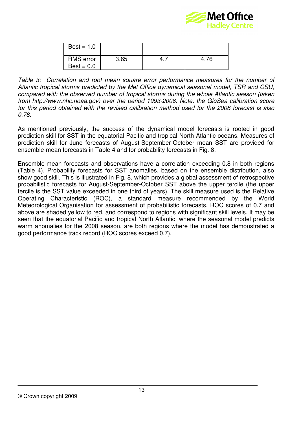

| $Best = 1.0$                     |      |      |
|----------------------------------|------|------|
| <b>RMS</b> error<br>$Best = 0.0$ | 3.65 | 4.76 |

Table 3: Correlation and root mean square error performance measures for the number of Atlantic tropical storms predicted by the Met Office dynamical seasonal model, TSR and CSU, compared with the observed number of tropical storms during the whole Atlantic season (taken from http://www.nhc.noaa.gov) over the period 1993-2006. Note: the GloSea calibration score for this period obtained with the revised calibration method used for the 2008 forecast is also 0.78.

As mentioned previously, the success of the dynamical model forecasts is rooted in good prediction skill for SST in the equatorial Pacific and tropical North Atlantic oceans. Measures of prediction skill for June forecasts of August-September-October mean SST are provided for ensemble-mean forecasts in Table 4 and for probability forecasts in Fig. 8.

Ensemble-mean forecasts and observations have a correlation exceeding 0.8 in both regions (Table 4). Probability forecasts for SST anomalies, based on the ensemble distribution, also show good skill. This is illustrated in Fig. 8, which provides a global assessment of retrospective probabilistic forecasts for August-September-October SST above the upper tercile (the upper tercile is the SST value exceeded in one third of years). The skill measure used is the Relative Operating Characteristic (ROC), a standard measure recommended by the World Meteorological Organisation for assessment of probabilistic forecasts. ROC scores of 0.7 and above are shaded yellow to red, and correspond to regions with significant skill levels. It may be seen that the equatorial Pacific and tropical North Atlantic, where the seasonal model predicts warm anomalies for the 2008 season, are both regions where the model has demonstrated a good performance track record (ROC scores exceed 0.7).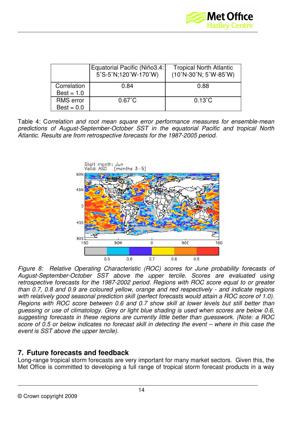

|                                  | Equatorial Pacific (Niño3.4:<br>5°S-5°N;120°W-170°W) | <b>Tropical North Atlantic</b><br>$(10^{\circ}N-30^{\circ}N; 5^{\circ}W-85^{\circ}W)$ |
|----------------------------------|------------------------------------------------------|---------------------------------------------------------------------------------------|
| Correlation<br>$Best = 1.0$      | 0.84                                                 | 0.88                                                                                  |
| <b>RMS</b> error<br>$Best = 0.0$ | $0.67^{\circ}$ C                                     | $0.13^{\circ}$ C                                                                      |

Table 4: Correlation and root mean square error performance measures for ensemble-mean predictions of August-September-October SST in the equatorial Pacific and tropical North Atlantic. Results are from retrospective forecasts for the 1987-2005 period.



Figure 8: Relative Operating Characteristic (ROC) scores for June probability forecasts of August-September-October SST above the upper tercile. Scores are evaluated using retrospective forecasts for the 1987-2002 period. Regions with ROC score equal to or greater than 0.7, 0.8 and 0.9 are coloured yellow, orange and red respectively - and indicate regions with relatively good seasonal prediction skill (perfect forecasts would attain a ROC score of 1.0). Regions with ROC score between 0.6 and 0.7 show skill at lower levels but still better than guessing or use of climatology. Grey or light blue shading is used when scores are below 0.6, suggesting forecasts in these regions are currently little better than guesswork. (Note: a ROC score of 0.5 or below indicates no forecast skill in detecting the event – where in this case the event is SST above the upper tercile).

#### **7. Future forecasts and feedback**

Long-range tropical storm forecasts are very important for many market sectors. Given this, the Met Office is committed to developing a full range of tropical storm forecast products in a way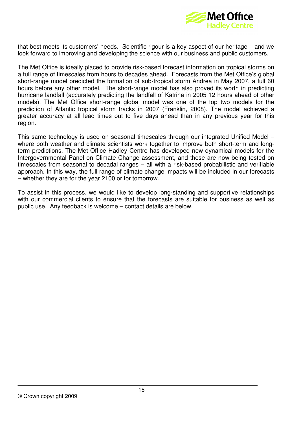

that best meets its customers' needs. Scientific rigour is a key aspect of our heritage – and we look forward to improving and developing the science with our business and public customers.

The Met Office is ideally placed to provide risk-based forecast information on tropical storms on a full range of timescales from hours to decades ahead. Forecasts from the Met Office's global short-range model predicted the formation of sub-tropical storm Andrea in May 2007, a full 60 hours before any other model. The short-range model has also proved its worth in predicting hurricane landfall (accurately predicting the landfall of Katrina in 2005 12 hours ahead of other models). The Met Office short-range global model was one of the top two models for the prediction of Atlantic tropical storm tracks in 2007 (Franklin, 2008). The model achieved a greater accuracy at all lead times out to five days ahead than in any previous year for this region.

This same technology is used on seasonal timescales through our integrated Unified Model – where both weather and climate scientists work together to improve both short-term and longterm predictions. The Met Office Hadley Centre has developed new dynamical models for the Intergovernmental Panel on Climate Change assessment, and these are now being tested on timescales from seasonal to decadal ranges – all with a risk-based probabilistic and verifiable approach. In this way, the full range of climate change impacts will be included in our forecasts – whether they are for the year 2100 or for tomorrow.

To assist in this process, we would like to develop long-standing and supportive relationships with our commercial clients to ensure that the forecasts are suitable for business as well as public use. Any feedback is welcome – contact details are below.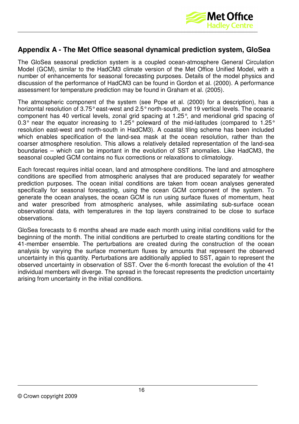

# **Appendix A - The Met Office seasonal dynamical prediction system, GloSea**

The GloSea seasonal prediction system is a coupled ocean-atmosphere General Circulation Model (GCM), similar to the HadCM3 climate version of the Met Office Unified Model, with a number of enhancements for seasonal forecasting purposes. Details of the model physics and discussion of the performance of HadCM3 can be found in Gordon et al. (2000). A performance assessment for temperature prediction may be found in Graham et al. (2005).

The atmospheric component of the system (see Pope et al. (2000) for a description), has a horizontal resolution of 3.75° east-west and 2.5° north-south, and 19 vertical levels. The oceanic component has 40 vertical levels, zonal grid spacing at 1.25°, and meridional grid spacing of 0.3° near the equator increasing to 1.25° poleward of the mid-latitudes (compared to 1.25° resolution east-west and north-south in HadCM3). A coastal tiling scheme has been included which enables specification of the land-sea mask at the ocean resolution, rather than the coarser atmosphere resolution. This allows a relatively detailed representation of the land-sea boundaries – which can be important in the evolution of SST anomalies. Like HadCM3, the seasonal coupled GCM contains no flux corrections or relaxations to climatology.

Each forecast requires initial ocean, land and atmosphere conditions. The land and atmosphere conditions are specified from atmospheric analyses that are produced separately for weather prediction purposes. The ocean initial conditions are taken from ocean analyses generated specifically for seasonal forecasting, using the ocean GCM component of the system. To generate the ocean analyses, the ocean GCM is run using surface fluxes of momentum, heat and water prescribed from atmospheric analyses, while assimilating sub-surface ocean observational data, with temperatures in the top layers constrained to be close to surface observations.

GloSea forecasts to 6 months ahead are made each month using initial conditions valid for the beginning of the month. The initial conditions are perturbed to create starting conditions for the 41-member ensemble. The perturbations are created during the construction of the ocean analysis by varying the surface momentum fluxes by amounts that represent the observed uncertainty in this quantity. Perturbations are additionally applied to SST, again to represent the observed uncertainty in observation of SST. Over the 6-month forecast the evolution of the 41 individual members will diverge. The spread in the forecast represents the prediction uncertainty arising from uncertainty in the initial conditions.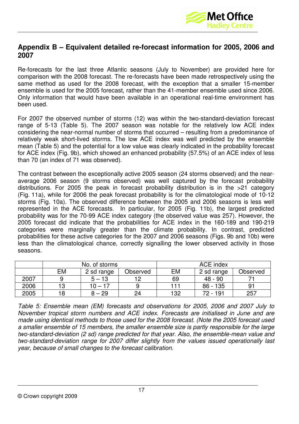

# **Appendix B – Equivalent detailed re-forecast information for 2005, 2006 and 2007**

Re-forecasts for the last three Atlantic seasons (July to November) are provided here for comparison with the 2008 forecast. The re-forecasts have been made retrospectively using the same method as used for the 2008 forecast, with the exception that a smaller 15-member ensemble is used for the 2005 forecast, rather than the 41-member ensemble used since 2006. Only information that would have been available in an operational real-time environment has been used.

For 2007 the observed number of storms (12) was within the two-standard-deviation forecast range of 5-13 (Table 5). The 2007 season was notable for the relatively low ACE index considering the near-normal number of storms that occurred – resulting from a predominance of relatively weak short-lived storms. The low ACE index was well predicted by the ensemble mean (Table 5) and the potential for a low value was clearly indicated in the probability forecast for ACE index (Fig. 9b), which showed an enhanced probability (57.5%) of an ACE index of less than 70 (an index of 71 was observed).

The contrast between the exceptionally active 2005 season (24 storms observed) and the nearaverage 2006 season (9 storms observed) was well captured by the forecast probability distributions. For 2005 the peak in forecast probability distribution is in the >21 category (Fig. 11a), while for 2006 the peak forecast probability is for the climatological mode of 10-12 storms (Fig. 10a). The observed difference between the 2005 and 2006 seasons is less well represented in the ACE forecasts. In particular, for 2005 (Fig. 11b), the largest predicted probability was for the 70-99 ACE index category (the observed value was 257). However, the 2005 forecast did indicate that the probabilities for ACE index in the 160-189 and 190-219 categories were marginally greater than the climate probability. In contrast, predicted probabilities for these active categories for the 2007 and 2006 seasons (Figs. 9b and 10b) were less than the climatological chance, correctly signalling the lower observed activity in those seasons.

|      | No. of storms |            | <b>ACE index</b> |           |            |          |
|------|---------------|------------|------------------|-----------|------------|----------|
|      | EM            | 2 sd range | Observed         | <b>EM</b> | 2 sd range | Observed |
| 2007 |               | $5 - 13$   |                  | 69        | 48 - 90    |          |
| 2006 |               | 10 – 17    |                  | 111       | $86 - 135$ | 9.       |
| 2005 |               | 8 – 29     | 24               | 132       | 72 - 191   | 257      |

Table 5: Ensemble mean (EM) forecasts and observations for 2005, 2006 and 2007 July to November tropical storm numbers and ACE index. Forecasts are initialised in June and are made using identical methods to those used for the 2008 forecast. (Note the 2005 forecast used a smaller ensemble of 15 members, the smaller ensemble size is partly responsible for the large two-standard-deviation (2 sd) range predicted for that year. Also, the ensemble-mean value and two-standard-deviation range for 2007 differ slightly from the values issued operationally last year, because of small changes to the forecast calibration.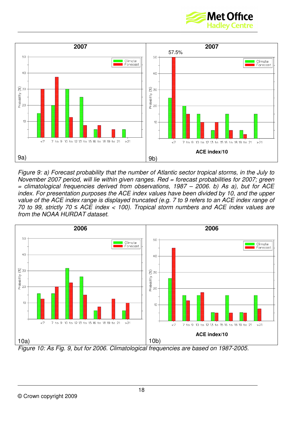



Figure 9: a) Forecast probability that the number of Atlantic sector tropical storms, in the July to November 2007 period, will lie within given ranges. Red = forecast probabilities for 2007; green  $=$  climatological frequencies derived from observations, 1987 – 2006. b) As a), but for ACE index. For presentation purposes the ACE index values have been divided by 10, and the upper value of the ACE index range is displayed truncated (e.g. 7 to 9 refers to an ACE index range of 70 to 99, strictly 70  $\leq$  ACE index  $<$  100). Tropical storm numbers and ACE index values are from the NOAA HURDAT dataset.



Figure 10: As Fig. 9, but for 2006. Climatological frequencies are based on 1987-2005.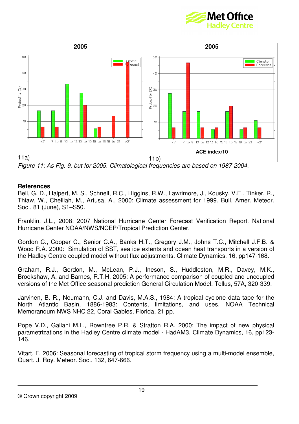



Figure 11: As Fig. 9, but for 2005. Climatological frequencies are based on 1987-2004.

#### **References**

Bell, G. D., Halpert, M. S., Schnell, R.C., Higgins, R.W., Lawrimore, J., Kousky, V.E., Tinker, R., Thiaw, W., Chelliah, M., Artusa, A., 2000: Climate assessment for 1999. Bull. Amer. Meteor. Soc., 81 (June), S1–S50.

Franklin, J.L., 2008: 2007 National Hurricane Center Forecast Verification Report. National Hurricane Center NOAA/NWS/NCEP/Tropical Prediction Center.

Gordon C., Cooper C., Senior C.A., Banks H.T., Gregory J.M., Johns T.C., Mitchell J.F.B. & Wood R.A. 2000: Simulation of SST, sea ice extents and ocean heat transports in a version of the Hadley Centre coupled model without flux adjustments. Climate Dynamics, 16, pp147-168.

Graham, R.J., Gordon, M., McLean, P.J., Ineson, S., Huddleston, M.R., Davey, M.K., Brookshaw, A. and Barnes, R.T.H. 2005: A performance comparison of coupled and uncoupled versions of the Met Office seasonal prediction General Circulation Model. Tellus, 57A, 320-339.

Jarvinen, B. R., Neumann, C.J. and Davis, M.A.S., 1984: A tropical cyclone data tape for the North Atlantic Basin, 1886-1983: Contents, limitations, and uses. NOAA Technical Memorandum NWS NHC 22, Coral Gables, Florida, 21 pp.

Pope V.D., Gallani M.L., Rowntree P.R. & Stratton R.A. 2000: The impact of new physical parametrizations in the Hadley Centre climate model - HadAM3. Climate Dynamics, 16, pp123- 146.

Vitart, F. 2006: Seasonal forecasting of tropical storm frequency using a multi-model ensemble, Quart. J. Roy. Meteor. Soc., 132, 647-666.